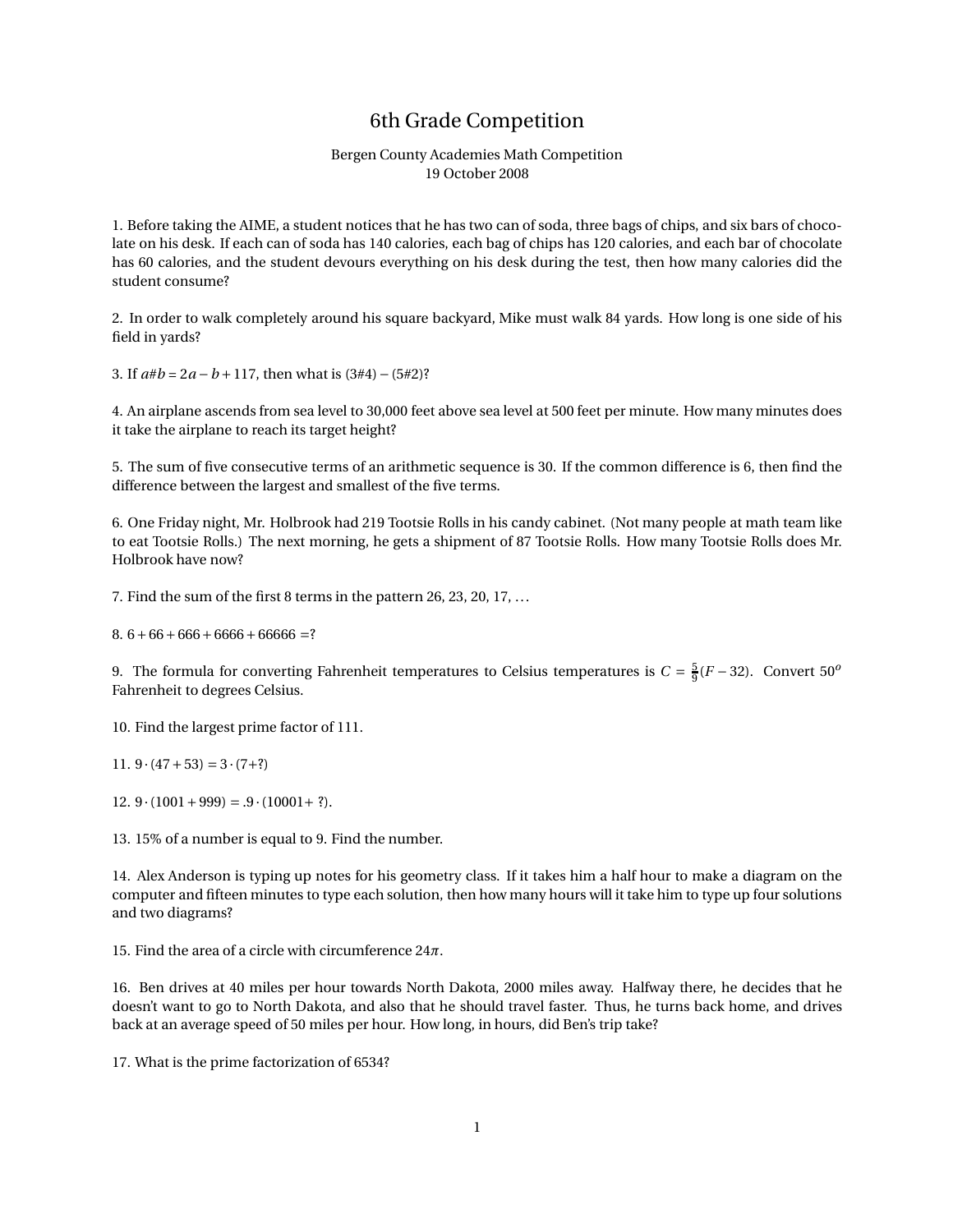## 6th Grade Competition

## Bergen County Academies Math Competition 19 October 2008

1. Before taking the AIME, a student notices that he has two can of soda, three bags of chips, and six bars of chocolate on his desk. If each can of soda has 140 calories, each bag of chips has 120 calories, and each bar of chocolate has 60 calories, and the student devours everything on his desk during the test, then how many calories did the student consume?

2. In order to walk completely around his square backyard, Mike must walk 84 yards. How long is one side of his field in yards?

3. If *a*#*b* = 2*a* −*b* +117, then what is (3#4)−(5#2)?

4. An airplane ascends from sea level to 30,000 feet above sea level at 500 feet per minute. How many minutes does it take the airplane to reach its target height?

5. The sum of five consecutive terms of an arithmetic sequence is 30. If the common difference is 6, then find the difference between the largest and smallest of the five terms.

6. One Friday night, Mr. Holbrook had 219 Tootsie Rolls in his candy cabinet. (Not many people at math team like to eat Tootsie Rolls.) The next morning, he gets a shipment of 87 Tootsie Rolls. How many Tootsie Rolls does Mr. Holbrook have now?

7. Find the sum of the first 8 terms in the pattern 26, 23, 20, 17, ...

 $8.6+66+666+6666+6666=?$ 

9. The formula for converting Fahrenheit temperatures to Celsius temperatures is  $C = \frac{5}{9}(F - 32)$ . Convert 50<sup>*o*</sup> Fahrenheit to degrees Celsius.

10. Find the largest prime factor of 111.

11.  $9 \cdot (47 + 53) = 3 \cdot (7 + ?)$ 

12.  $9 \cdot (1001 + 999) = .9 \cdot (10001 + ?).$ 

13. 15% of a number is equal to 9. Find the number.

14. Alex Anderson is typing up notes for his geometry class. If it takes him a half hour to make a diagram on the computer and fifteen minutes to type each solution, then how many hours will it take him to type up four solutions and two diagrams?

15. Find the area of a circle with circumference 24*π*.

16. Ben drives at 40 miles per hour towards North Dakota, 2000 miles away. Halfway there, he decides that he doesn't want to go to North Dakota, and also that he should travel faster. Thus, he turns back home, and drives back at an average speed of 50 miles per hour. How long, in hours, did Ben's trip take?

17. What is the prime factorization of 6534?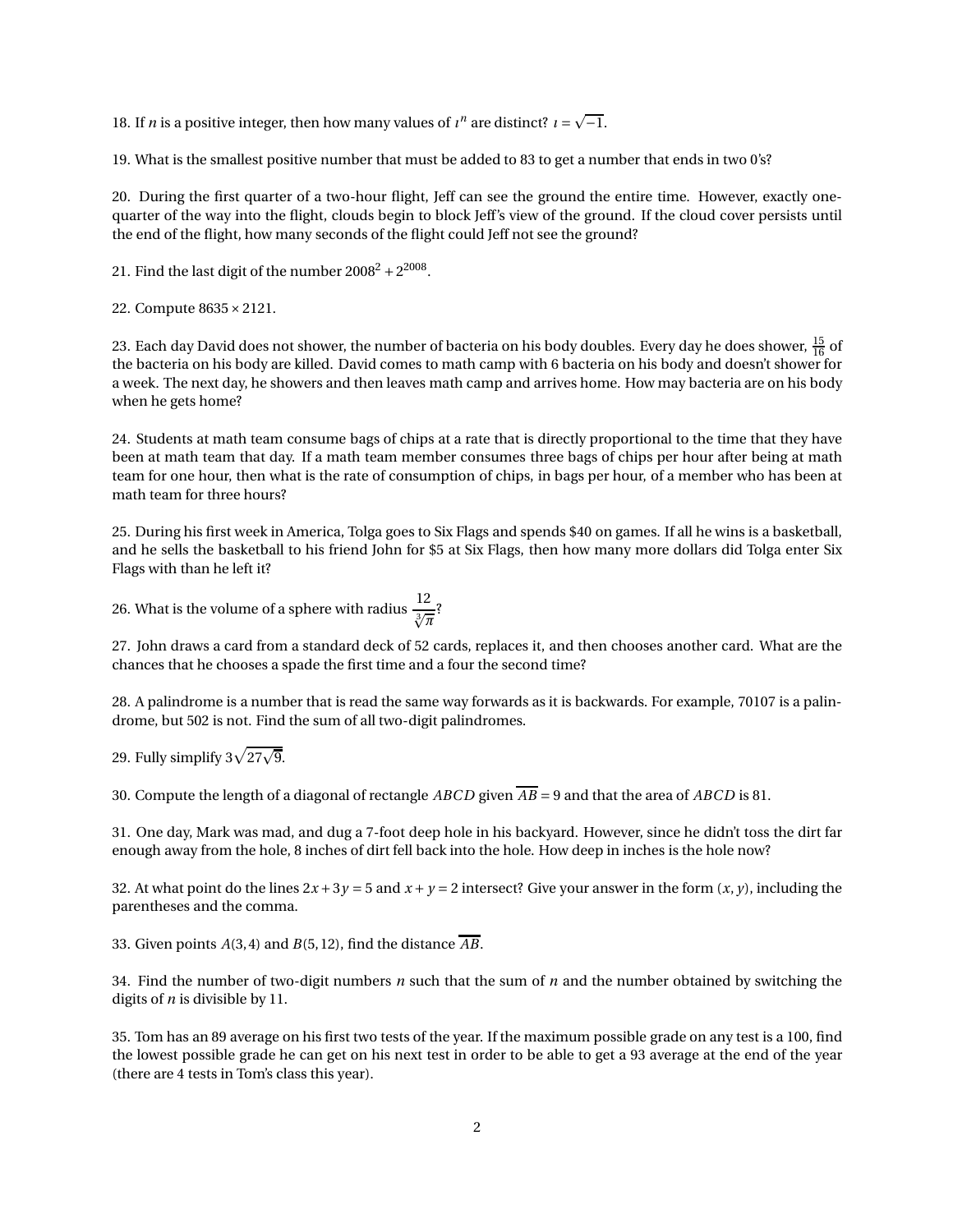18. If *n* is a positive integer, then how many values of  $\iota^n$  are distinct?  $\iota = \sqrt{-1}$ .

19. What is the smallest positive number that must be added to 83 to get a number that ends in two 0's?

20. During the first quarter of a two-hour flight, Jeff can see the ground the entire time. However, exactly onequarter of the way into the flight, clouds begin to block Jeff's view of the ground. If the cloud cover persists until the end of the flight, how many seconds of the flight could Jeff not see the ground?

21. Find the last digit of the number  $2008^2 + 2^{2008}$ .

22. Compute 8635×2121.

23. Each day David does not shower, the number of bacteria on his body doubles. Every day he does shower,  $\frac{15}{16}$  of the bacteria on his body are killed. David comes to math camp with 6 bacteria on his body and doesn't shower for a week. The next day, he showers and then leaves math camp and arrives home. How may bacteria are on his body when he gets home?

24. Students at math team consume bags of chips at a rate that is directly proportional to the time that they have been at math team that day. If a math team member consumes three bags of chips per hour after being at math team for one hour, then what is the rate of consumption of chips, in bags per hour, of a member who has been at math team for three hours?

25. During his first week in America, Tolga goes to Six Flags and spends \$40 on games. If all he wins is a basketball, and he sells the basketball to his friend John for \$5 at Six Flags, then how many more dollars did Tolga enter Six Flags with than he left it?

26. What is the volume of a sphere with radius 
$$
\frac{12}{\sqrt[3]{\pi}}
$$
?

27. John draws a card from a standard deck of 52 cards, replaces it, and then chooses another card. What are the chances that he chooses a spade the first time and a four the second time?

28. A palindrome is a number that is read the same way forwards as it is backwards. For example, 70107 is a palindrome, but 502 is not. Find the sum of all two-digit palindromes.

## 29. Fully simplify 3 $\sqrt{27\sqrt{9}}$ .

30. Compute the length of a diagonal of rectangle *ABCD* given *AB* = 9 and that the area of *ABCD* is 81.

31. One day, Mark was mad, and dug a 7-foot deep hole in his backyard. However, since he didn't toss the dirt far enough away from the hole, 8 inches of dirt fell back into the hole. How deep in inches is the hole now?

32. At what point do the lines  $2x + 3y = 5$  and  $x + y = 2$  intersect? Give your answer in the form  $(x, y)$ , including the parentheses and the comma.

33. Given points *A*(3,4) and *B*(5,12), find the distance *AB*.

34. Find the number of two-digit numbers *n* such that the sum of *n* and the number obtained by switching the digits of *n* is divisible by 11.

35. Tom has an 89 average on his first two tests of the year. If the maximum possible grade on any test is a 100, find the lowest possible grade he can get on his next test in order to be able to get a 93 average at the end of the year (there are 4 tests in Tom's class this year).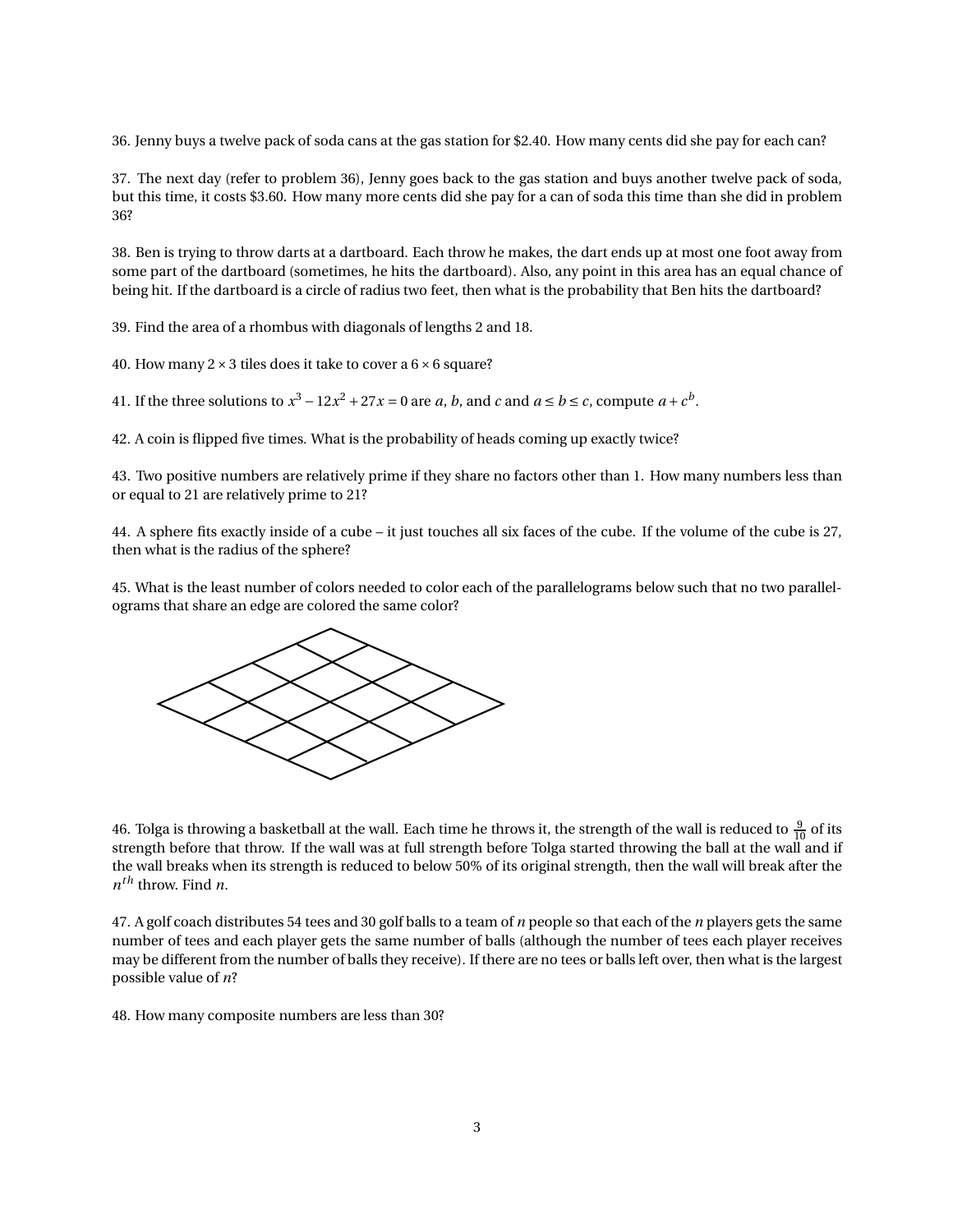36. Jenny buys a twelve pack of soda cans at the gas station for \$2.40. How many cents did she pay for each can?

37. The next day (refer to problem 36), Jenny goes back to the gas station and buys another twelve pack of soda, but this time, it costs \$3.60. How many more cents did she pay for a can of soda this time than she did in problem 36?

38. Ben is trying to throw darts at a dartboard. Each throw he makes, the dart ends up at most one foot away from some part of the dartboard (sometimes, he hits the dartboard). Also, any point in this area has an equal chance of being hit. If the dartboard is a circle of radius two feet, then what is the probability that Ben hits the dartboard?

39. Find the area of a rhombus with diagonals of lengths 2 and 18.

40. How many  $2 \times 3$  tiles does it take to cover a  $6 \times 6$  square?

41. If the three solutions to  $x^3 - 12x^2 + 27x = 0$  are *a*, *b*, and *c* and  $a \le b \le c$ , compute  $a + c^b$ .

42. A coin is flipped five times. What is the probability of heads coming up exactly twice?

43. Two positive numbers are relatively prime if they share no factors other than 1. How many numbers less than or equal to 21 are relatively prime to 21?

44. A sphere fits exactly inside of a cube – it just touches all six faces of the cube. If the volume of the cube is 27, then what is the radius of the sphere?

45. What is the least number of colors needed to color each of the parallelograms below such that no two parallelograms that share an edge are colored the same color?



46. Tolga is throwing a basketball at the wall. Each time he throws it, the strength of the wall is reduced to  $\frac{9}{10}$  of its strength before that throw. If the wall was at full strength before Tolga started throwing the ball at the wall and if the wall breaks when its strength is reduced to below 50% of its original strength, then the wall will break after the *n th* throw. Find *n*.

47. A golf coach distributes 54 tees and 30 golf balls to a team of *n* people so that each of the *n* players gets the same number of tees and each player gets the same number of balls (although the number of tees each player receives may be different from the number of balls they receive). If there are no tees or balls left over, then what is the largest possible value of *n*?

48. How many composite numbers are less than 30?